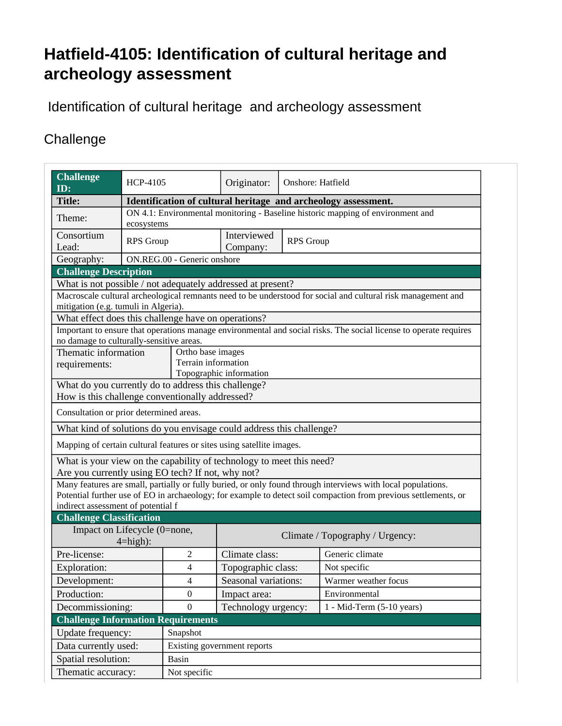## **Hatfield-4105: Identification of cultural heritage and archeology assessment**

Identification of cultural heritage and archeology assessment

## **Challenge**

| <b>Challenge</b><br>ID:                                                                                      | <b>HCP-4105</b>                                                                               |                          | Originator:                     | Onshore: Hatfield |                                                                                                                   |  |  |
|--------------------------------------------------------------------------------------------------------------|-----------------------------------------------------------------------------------------------|--------------------------|---------------------------------|-------------------|-------------------------------------------------------------------------------------------------------------------|--|--|
| <b>Title:</b>                                                                                                | Identification of cultural heritage and archeology assessment.                                |                          |                                 |                   |                                                                                                                   |  |  |
| Theme:                                                                                                       | ON 4.1: Environmental monitoring - Baseline historic mapping of environment and<br>ecosystems |                          |                                 |                   |                                                                                                                   |  |  |
| Consortium<br>Lead:                                                                                          | <b>RPS</b> Group                                                                              |                          | Interviewed<br>Company:         | <b>RPS</b> Group  |                                                                                                                   |  |  |
| Geography:                                                                                                   | ON.REG.00 - Generic onshore                                                                   |                          |                                 |                   |                                                                                                                   |  |  |
| <b>Challenge Description</b>                                                                                 |                                                                                               |                          |                                 |                   |                                                                                                                   |  |  |
| What is not possible / not adequately addressed at present?                                                  |                                                                                               |                          |                                 |                   |                                                                                                                   |  |  |
| Macroscale cultural archeological remnants need to be understood for social and cultural risk management and |                                                                                               |                          |                                 |                   |                                                                                                                   |  |  |
| mitigation (e.g. tumuli in Algeria).                                                                         |                                                                                               |                          |                                 |                   |                                                                                                                   |  |  |
| What effect does this challenge have on operations?                                                          |                                                                                               |                          |                                 |                   |                                                                                                                   |  |  |
|                                                                                                              |                                                                                               |                          |                                 |                   | Important to ensure that operations manage environmental and social risks. The social license to operate requires |  |  |
| no damage to culturally-sensitive areas.<br>Thematic information<br>Ortho base images                        |                                                                                               |                          |                                 |                   |                                                                                                                   |  |  |
| requirements:                                                                                                |                                                                                               | Terrain information      |                                 |                   |                                                                                                                   |  |  |
|                                                                                                              |                                                                                               | Topographic information  |                                 |                   |                                                                                                                   |  |  |
| What do you currently do to address this challenge?                                                          |                                                                                               |                          |                                 |                   |                                                                                                                   |  |  |
| How is this challenge conventionally addressed?                                                              |                                                                                               |                          |                                 |                   |                                                                                                                   |  |  |
| Consultation or prior determined areas.                                                                      |                                                                                               |                          |                                 |                   |                                                                                                                   |  |  |
| What kind of solutions do you envisage could address this challenge?                                         |                                                                                               |                          |                                 |                   |                                                                                                                   |  |  |
| Mapping of certain cultural features or sites using satellite images.                                        |                                                                                               |                          |                                 |                   |                                                                                                                   |  |  |
| What is your view on the capability of technology to meet this need?                                         |                                                                                               |                          |                                 |                   |                                                                                                                   |  |  |
| Are you currently using EO tech? If not, why not?                                                            |                                                                                               |                          |                                 |                   |                                                                                                                   |  |  |
| Many features are small, partially or fully buried, or only found through interviews with local populations. |                                                                                               |                          |                                 |                   |                                                                                                                   |  |  |
|                                                                                                              |                                                                                               |                          |                                 |                   | Potential further use of EO in archaeology; for example to detect soil compaction from previous settlements, or   |  |  |
| indirect assessment of potential f                                                                           |                                                                                               |                          |                                 |                   |                                                                                                                   |  |  |
| <b>Challenge Classification</b>                                                                              |                                                                                               |                          |                                 |                   |                                                                                                                   |  |  |
| Impact on Lifecycle (0=none,<br>$4 = high$ :                                                                 |                                                                                               |                          | Climate / Topography / Urgency: |                   |                                                                                                                   |  |  |
| Pre-license:                                                                                                 |                                                                                               | 2                        | Climate class:                  |                   | Generic climate                                                                                                   |  |  |
| Exploration:                                                                                                 |                                                                                               | $\overline{4}$           | Topographic class:              |                   | Not specific                                                                                                      |  |  |
| Development:                                                                                                 |                                                                                               | $\overline{\mathcal{L}}$ | Seasonal variations:            |                   | Warmer weather focus                                                                                              |  |  |
| Production:                                                                                                  |                                                                                               | $\mathbf{0}$             | Impact area:                    |                   | Environmental                                                                                                     |  |  |
| Decommissioning:                                                                                             |                                                                                               | $\overline{0}$           | Technology urgency:             |                   | $1 - Mid-Term (5-10 years)$                                                                                       |  |  |
| <b>Challenge Information Requirements</b>                                                                    |                                                                                               |                          |                                 |                   |                                                                                                                   |  |  |
| Update frequency:                                                                                            |                                                                                               | Snapshot                 |                                 |                   |                                                                                                                   |  |  |
| Data currently used:                                                                                         | Existing government reports                                                                   |                          |                                 |                   |                                                                                                                   |  |  |
| Spatial resolution:                                                                                          | Basin                                                                                         |                          |                                 |                   |                                                                                                                   |  |  |
|                                                                                                              |                                                                                               |                          |                                 |                   |                                                                                                                   |  |  |
| Thematic accuracy:                                                                                           | Not specific                                                                                  |                          |                                 |                   |                                                                                                                   |  |  |